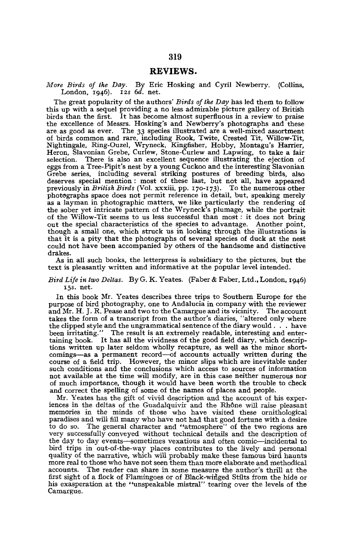## REVIEWS.

*More Birds of the Day.* By Eric Hosking and Cyril Newberry. (Collins, London, 1946). 125 *6d.* net.

The great popularity of the authors' *Birds of the Day* has led them to follow this up with a sequel providing a no less admirable picture gallery of British birds than the first. It has become almost superfluous in a review to praise the excellence of Messrs. Hosking's and Newberry's photographs and these are as good as ever. The 33 species illustrated are a well-mixed assortment of birds common and rare, including Rook, Twite, Crested Tit, Willow-Tit, Nightingale, Ring-Ouzel, Wryneck, Kingfisher, Hobby, Montagu's Harrier, Heron, Slavonian Grebe, Curlew, Stone-Curlew and Lapwing, to take a fair selection. There is also an excellent sequence illustrating the ejection of eggs from a Tree-Pipit's nest by a young Cuckoo and the interesting Slavonian Grebe series, including several striking postures of breeding birds, also deserves special mention : most of these last, but not all, have appeared previously in *British Birds* (Vol. xxxiii, pp. 170-173). To the numerous other photographs space does not permit reference in detail, but, speaking merely as a layman in photographic matters, we like particularly the rendering of the sober yet intricate pattern of the Wryneck's plumage, while the portrait of the Willow-Tit seems to us less successful than most: it does not bring out the special characteristics of the species to advantage. Another point, though a small one, which struck us in looking through the illustrations is that it is a pity that the photographs of several species of duck at the nest could not have been accompanied by others of the handsome and distinctive drakes.

As in all such books, the letterpress is subsidiary to the pictures, but the text is pleasantly written and informative at the popular level intended.

## *Bird Life in two Deltas.* By G. K. Yeates. (Faber & Faber, Ltd., London, 1946) 15s. net.

In this book Mr. Yeates describes three trips to Southern Europe for the purpose of bird photography, one to Andalucia in company with the reviewer and Mr. H. J. R. Pease and two to the Camargue and its vicinity. The account takes the form of a transcript from the author's diaries, "altered only where the clipped style and the ungrammatical sentence of the diary would . . . have been irritating." The result is an extremely readable, interesting and entertaining book. It has all the vividness of the good field diary, which descriptions written up later seldom wholly recapture, as well as the minor comings—as a permanent record—of accounts actually written during the course of a field trip. However, the minor slips which are inevitable under such conditions and the conclusions which access to sources of information not available at the time will modify, are in this case neither numerous nor of much importance, though it would have been worth the trouble to check and correct the spelling of some of the names of places and people.

Mr. Yeates has the gift of vivid description and the account of his experiences in the deltas of the Guadalquivir and the Rhône will raise pleasant memories in the minds of those who have visited these ornithological paradises and will fill many who have not had that good fortune with a desire to do so. The general character and "atmosphere" of the two regions are very successfully conveyed without technical details and the description of the day to day events—sometimes vexatious and often comic—incidental to bird trips in out-of-the-way places contributes to the lively and personal quality of the narrative, which will probably make these famous bird haunts more real to those who have not seen them than more elaborate and methodical accounts. The reader can share in some measure the author's thrill at the first sight of a flock of Flamingoes or of Black-winged Stilts from the hide or his exasperation at the "unspeakable mistral" tearing over the levels of the Camargue.